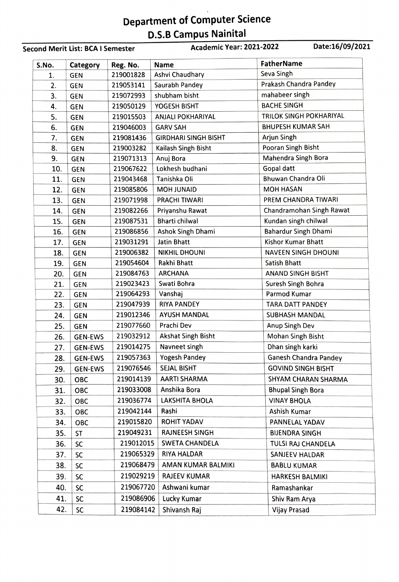## Department of Computer Science D.S.B Campus Nainital

Second Merit List: BCA I Semester Academic Year: 2021-2022 Date:16/09/2021

| S.No. | Category       | Reg. No.  | <b>Name</b>                 | <b>FatherName</b>            |
|-------|----------------|-----------|-----------------------------|------------------------------|
| 1.    | <b>GEN</b>     | 219001828 | Ashvi Chaudhary             | Seva Singh                   |
| 2.    | <b>GEN</b>     | 219053141 | Saurabh Pandey              | Prakash Chandra Pandey       |
| 3.    | <b>GEN</b>     | 219072993 | shubham bisht               | mahabeer singh               |
| 4.    | <b>GEN</b>     | 219050129 | YOGESH BISHT                | <b>BACHE SINGH</b>           |
| 5.    | <b>GEN</b>     | 219015503 | <b>ANJALI POKHARIYAL</b>    | TRILOK SINGH POKHARIYAL      |
| 6.    | <b>GEN</b>     | 219046003 | <b>GARV SAH</b>             | <b>BHUPESH KUMAR SAH</b>     |
| 7.    | <b>GEN</b>     | 219081436 | <b>GIRDHARI SINGH BISHT</b> | Arjun Singh                  |
| 8.    | <b>GEN</b>     | 219003282 | Kailash Singh Bisht         | Pooran Singh Bisht           |
| 9.    | <b>GEN</b>     | 219071313 | Anuj Bora                   | Mahendra Singh Bora          |
| 10.   | <b>GEN</b>     | 219067622 | Lokhesh budhani             | Gopal datt                   |
| 11.   | <b>GEN</b>     | 219043468 | Tanishka Oli                | Bhuwan Chandra Oli           |
| 12.   | <b>GEN</b>     | 219085806 | <b>MOH JUNAID</b>           | <b>MOH HASAN</b>             |
| 13.   | <b>GEN</b>     | 219071998 | PRACHI TIWARI               | PREM CHANDRA TIWARI          |
| 14.   | <b>GEN</b>     | 219082266 | Priyanshu Rawat             | Chandramohan Singh Rawat     |
| 15.   | <b>GEN</b>     | 219087531 | <b>Bharti chilwal</b>       | Kundan singh chilwal         |
| 16.   | <b>GEN</b>     | 219086856 | Ashok Singh Dhami           | <b>Bahardur Singh Dhami</b>  |
| 17.   | <b>GEN</b>     | 219031291 | <b>Jatin Bhatt</b>          | Kishor Kumar Bhatt           |
| 18.   | <b>GEN</b>     | 219006382 | <b>NIKHIL DHOUNI</b>        | <b>NAVEEN SINGH DHOUNI</b>   |
| 19.   | <b>GEN</b>     | 219054604 | <b>Rakhi Bhatt</b>          | <b>Satish Bhatt</b>          |
| 20.   | <b>GEN</b>     | 219084763 | <b>ARCHANA</b>              | <b>ANAND SINGH BISHT</b>     |
| 21.   | <b>GEN</b>     | 219023423 | Swati Bohra                 | Suresh Singh Bohra           |
| 22.   | <b>GEN</b>     | 219064293 | Vanshaj                     | Parmod Kumar                 |
| 23.   | <b>GEN</b>     | 219047939 | <b>RIYA PANDEY</b>          | <b>TARA DATT PANDEY</b>      |
| 24.   | <b>GEN</b>     | 219012346 | <b>AYUSH MANDAL</b>         | <b>SUBHASH MANDAL</b>        |
| 25.   | <b>GEN</b>     | 219077660 | Prachi Dev                  | Anup Singh Dev               |
| 26.   | <b>GEN-EWS</b> | 219032912 | <b>Akshat Singh Bisht</b>   | Mohan Singh Bisht            |
| 27.   | <b>GEN-EWS</b> | 219014275 | Navneet singh               | Dhan singh karki             |
| 28.   | <b>GEN-EWS</b> | 219057363 | <b>Yogesh Pandey</b>        | <b>Ganesh Chandra Pandey</b> |
| 29.   | <b>GEN-EWS</b> | 219076546 | <b>SEJAL BISHT</b>          | <b>GOVIND SINGH BISHT</b>    |
| 30.   | OBC            | 219014139 | <b>AARTI SHARMA</b>         | SHYAM CHARAN SHARMA          |
| 31.   | OBC            | 219033008 | Anshika Bora                | <b>Bhupal Singh Bora</b>     |
| 32.   | OBC            | 219036774 | LAKSHITA BHOLA              | <b>VINAY BHOLA</b>           |
| 33.   | OBC            | 219042144 | Rashi                       | Ashish Kumar                 |
| 34.   | OBC            | 219015820 | <b>ROHIT YADAV</b>          | PANNELAL YADAV               |
| 35.   | ST             | 219049231 | <b>RAJNEESH SINGH</b>       | <b>BIJENDRA SINGH</b>        |
| 36.   | SC             | 219012015 | <b>SWETA CHANDELA</b>       | TULSI RAJ CHANDELA           |
| 37.   | SC             | 219065329 | <b>RIYA HALDAR</b>          | SANJEEV HALDAR               |
| 38.   | SC             | 219068479 | AMAN KUMAR BALMIKI          | <b>BABLU KUMAR</b>           |
| 39.   | SC             | 219029219 | <b>RAJEEV KUMAR</b>         | HARKESH BALMIKI              |
| 40.   | <b>SC</b>      | 219067720 | Ashwani kumar               | Ramashankar                  |
| 41.   | SC             | 219086906 | Lucky Kumar                 | Shiv Ram Arya                |
| 42.   | SC             | 219084142 | Shivansh Raj                | Vijay Prasad                 |
|       |                |           |                             |                              |